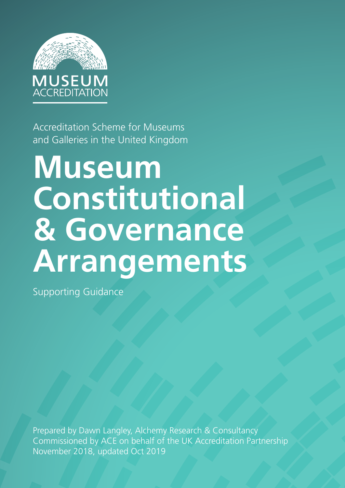

Accreditation Scheme for Museums and Galleries in the United Kingdom

# **Museum Constitutional & Governance Arrangements**

Supporting Guidance

Prepared by Dawn Langley, Alchemy Research & Consultancy Commissioned by ACE on behalf of the UK Accreditation Partnership November 2018, updated Oct 2019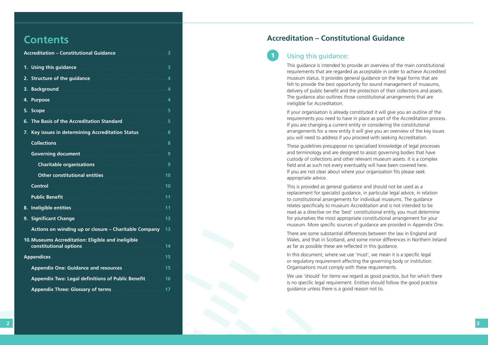# **Contents**

This guidance is intended to provide an overview of the main constitutional requirements that are regarded as acceptable in order to achieve Accredited museum status. It provides general guidance on the legal forms that are felt to provide the best opportunity for sound management of museums, delivery of public benefit and the protection of their collections and assets. The guidance also outlines those constitutional arrangements that are ineligible for Accreditation.

If your organisation is already constituted it will give you an outline of the requirements you need to have in place as part of the Accreditation process. If you are changing a current entity or considering the constitutional arrangements for a new entity it will give you an overview of the key issues you will need to address if you proceed with seeking Accreditation.

These guidelines presuppose no specialised knowledge of legal processes and terminology and are designed to assist governing bodies that have custody of collections and other relevant museum assets. It is a complex field and as such not every eventuality will have been covered here. If you are not clear about where your organisation fits please seek appropriate advice.

We use 'should' for items we regard as good practice, but for which there is no specific legal requirement. Entities should follow the good practice guidance unless there is a good reason not to.

This is provided as general guidance and should not be used as a replacement for specialist guidance, in particular legal advice, in relation to constitutional arrangements for individual museums. The guidance relates specifically to museum Accreditation and is not intended to be read as a directive on the 'best' constitutional entity, you must determine for yourselves the most appropriate constitutional arrangement for your museum. More specific sources of guidance are provided in Appendix One.

There are some substantial differences between the law in England and Wales, and that in Scotland, and some minor differences in Northern Ireland as far as possible these are reflected in this guidance.

In this document, where we use 'must', we mean it is a specific legal or regulatory requirement affecting the governing body or institution. Organisations must comply with these requirements.

| <b>Accreditation - Constitutional Guidance</b>                                                                         |
|------------------------------------------------------------------------------------------------------------------------|
| Using this guidance <b>Manual According to the Second</b> 3<br>1.                                                      |
| 2. Structure of the guidance <b>contract to the structure of the guidance</b>                                          |
| 3.                                                                                                                     |
| Purpose 4<br>4.                                                                                                        |
| 5. Scope                                                                                                               |
| The Basis of the Accreditation Standard<br>6.                                                                          |
| Key issues in determining Accreditation Status 2008 8<br>7.                                                            |
| Collections 8                                                                                                          |
| Governing document <b>contract of the Coverning document</b> 3                                                         |
|                                                                                                                        |
| Other constitutional entities <b>Manual According to the Constitutional entities</b>                                   |
| <b>Control</b>                                                                                                         |
| <u>Public Benefit and Service and Service and Service and Service and Service and Service and Service and Service </u> |
| 8.                                                                                                                     |
| 9.                                                                                                                     |
| Actions on winding up or closure – Charitable Company 13                                                               |
| 10. Museums Accreditation: Eligible and ineligible<br>constitutional options<br>14                                     |
| <b>Appendices</b>                                                                                                      |
| Appendix One: Guidance and resources <b>Committee Appendix One: Guidance and resources</b>                             |
| Appendix Two: Legal definitions of Public Benefit 16                                                                   |
| <b>Appendix Three: Glossary of terms</b>                                                                               |

# **Accreditation – Constitutional Guidance**

# Using this guidance: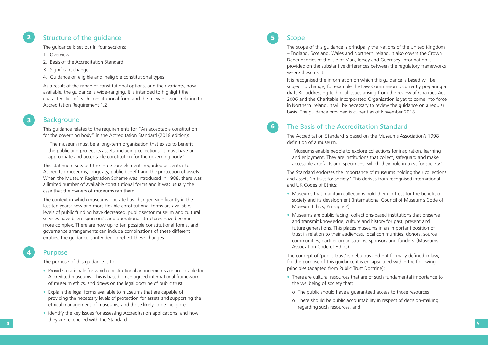# Structure of the guidance

The guidance is set out in four sections:

- 1. Overview
- 2. Basis of the Accreditation Standard
- 3. Significant change
- 4. Guidance on eligible and ineligible constitutional types

As a result of the range of constitutional options, and their variants, now available, the guidance is wide-ranging. It is intended to highlight the characteristics of each constitutional form and the relevant issues relating to Accreditation Requirement 1.2.

# Background

This guidance relates to the requirements for "An acceptable constitution for the governing body" in the Accreditation Standard (2018 edition):

 'The museum must be a long-term organisation that exists to benefit the public and protect its assets, including collections. It must have an appropriate and acceptable constitution for the governing body.'

Solution of the guidance of the state of the state of the state of the state of the state of the state of the state of the state of the state of the state of the state of the state of the state of the state of the state o The context in which museums operate has changed significantly in the last ten years; new and more flexible constitutional forms are available, levels of public funding have decreased, public sector museum and cultural services have been 'spun out', and operational structures have become more complex. There are now up to ten possible constitutional forms, and governance arrangements can include combinations of these different entities, the guidance is intended to reflect these changes.

This statement sets out the three core elements regarded as central to Accredited museums; longevity, public benefit and the protection of assets. When the Museum Registration Scheme was introduced in 1988, there was a limited number of available constitutional forms and it was usually the case that the owners of museums ran them.

### Purpose

The purpose of this guidance is to:

- Provide a rationale for which constitutional arrangements are acceptable for Accredited museums. This is based on an agreed international framework of museum ethics, and draws on the legal doctrine of public trust
- Explain the legal forms available to museums that are capable of providing the necessary levels of protection for assets and supporting the ethical management of museums, and those likely to be ineligible
- Identify the key issues for assessing Accreditation applications, and how they are reconciled with the Standard

## Scope

The scope of this guidance is principally the Nations of the United Kingdom – England, Scotland, Wales and Northern Ireland. It also covers the Crown Dependencies of the Isle of Man, Jersey and Guernsey. Information is provided on the substantive differences between the regulatory frameworks where these exist.

It is recognised the information on which this guidance is based will be subject to change, for example the Law Commission is currently preparing a draft Bill addressing technical issues arising from the review of Charities Act 2006 and the Charitable Incorporated Organisation is yet to come into force in Northern Ireland. It will be necessary to review the guidance on a regular basis. The guidance provided is current as of November 2018.

# The Basis of the Accreditation Standard

The Accreditation Standard is based on the Museums Association's 1998 definition of a museum.

 'Museums enable people to explore collections for inspiration, learning and enjoyment. They are institutions that collect, safeguard and make accessible artefacts and specimens, which they hold in trust for society.'

The Standard endorses the importance of museums holding their collections and assets 'in trust for society.' This derives from recognised international and UK Codes of Ethics:

- Museums that maintain collections hold them in trust for the benefit of society and its development (International Council of Museum's Code of Museum Ethics, Principle 2)
- Museums are public facing, collections-based institutions that preserve and transmit knowledge, culture and history for past, present and future generations. This places museums in an important position of trust in relation to their audiences, local communities, donors, source communities, partner organisations, sponsors and funders. (Museums Association Code of Ethics)

The concept of 'public trust' is nebulous and not formally defined in law, for the purpose of this guidance it is encapsulated within the following principles (adapted from Public Trust Doctrine):

- There are cultural resources that are of such fundamental importance to the wellbeing of society that:
- o The public should have a guaranteed access to those resources
- regarding such resources, and

o There should be public accountability in respect of decision-making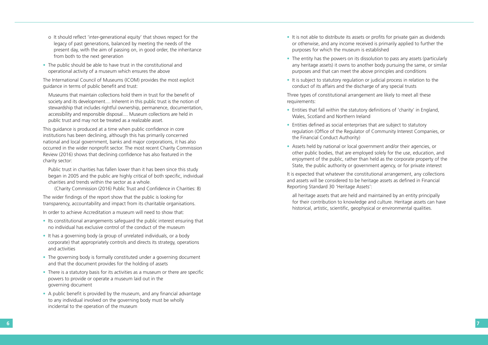- o It should reflect 'inter-generational equity' that shows respect for the legacy of past generations, balanced by meeting the needs of the present day, with the aim of passing on, in good order, the inheritance from both to the next generation
- The public should be able to have trust in the constitutional and operational activity of a museum which ensures the above

The International Council of Museums (ICOM) provides the most explicit guidance in terms of public benefit and trust:

 Museums that maintain collections hold them in trust for the benefit of society and its development.... Inherent in this public trust is the notion of stewardship that includes rightful ownership, permanence, documentation, accessibility and responsible disposal.... Museum collections are held in public trust and may not be treated as a realizable asset.

This guidance is produced at a time when public confidence in core institutions has been declining, although this has primarily concerned national and local government, banks and major corporations, it has also occurred in the wider nonprofit sector. The most recent Charity Commission Review (2016) shows that declining confidence has also featured in the charity sector:

 Public trust in charities has fallen lower than it has been since this study began in 2005 and the public are highly critical of both specific, individual charities and trends within the sector as a whole.

(Charity Commission (2016) Public Trust and Confidence in Charities: 8)

The wider findings of the report show that the public is looking for transparency, accountability and impact from its charitable organisations.

In order to achieve Accreditation a museum will need to show that:

- Its constitutional arrangements safeguard the public interest ensuring that no individual has exclusive control of the conduct of the museum
- It has a governing body (a group of unrelated individuals, or a body corporate) that appropriately controls and directs its strategy, operations and activities
- The governing body is formally constituted under a governing document and that the document provides for the holding of assets
- There is a statutory basis for its activities as a museum or there are specific powers to provide or operate a museum laid out in the governing document
- A public benefit is provided by the museum, and any financial advantage to any individual involved on the governing body must be wholly incidental to the operation of the museum
- It is not able to distribute its assets or profits for private gain as dividends or otherwise, and any income received is primarily applied to further the purposes for which the museum is established
- The entity has the powers on its dissolution to pass any assets (particularly any heritage assets) it owns to another body pursuing the same, or similar purposes and that can meet the above principles and conditions
- It is subject to statutory regulation or judicial process in relation to the conduct of its affairs and the discharge of any special trusts

Three types of constitutional arrangement are likely to meet all these requirements:

- Entities that fall within the statutory definitions of 'charity' in England, Wales, Scotland and Northern Ireland
- Entities defined as social enterprises that are subject to statutory regulation (Office of the Regulator of Community Interest Companies, or the Financial Conduct Authority)
- Assets held by national or local government and/or their agencies, or other public bodies, that are employed solely for the use, education, and enjoyment of the public, rather than held as the corporate property of the State, the public authority or government agency, or for private interest

It is expected that whatever the constitutional arrangement, any collections and assets will be considered to be heritage assets as defined in Financial Reporting Standard 30 'Heritage Assets':

 all heritage assets that are held and maintained by an entity principally historical, artistic, scientific, geophysical or environmental qualities.

- 
- for their contribution to knowledge and culture. Heritage assets can have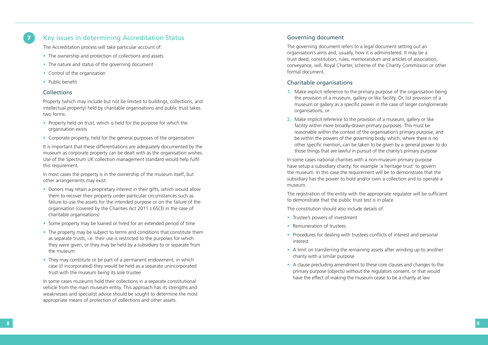- The ownership and protection of collections and assets
- The nature and status of the governing document
- Control of the organisation
- Public benefit

#### **Collections**

The Accreditation process will take particular account of:

- Property held on trust, which is held for the purpose for which the organisation exists
- Corporate property, held for the general purposes of the organisation

Property (which may include but not be limited to buildings, collections, and intellectual property) held by charitable organisations and public trust takes two forms:

It is important that these differentiations are adequately documented by the museum as corporate property can be dealt with as the organisation wishes. Use of the Spectrum UK collection management standard would help fulfil this requirement.

In most cases the property is in the ownership of the museum itself, but other arrangements may exist:

**The second intermediate constrained** Accreditation Status and the second of the second of the second of the second of the second of the second of the second of the second of the second of the second of the second of the The governing document refers to a legal document setting out an organisation's aims and, usually, how it is administered. It may be a trust deed, constitution, rules, memorandum and articles of association, conveyance, will, Royal Charter, scheme of the Charity Commission or other formal document.

- Donors may retain a proprietary interest in their gifts, which would allow them to recover their property under particular circumstances such as failure to use the assets for the intended purpose or on the failure of the organisation (covered by the Charities Act 2011 s 65(3) in the case of charitable organisations)
- Some property may be loaned or hired for an extended period of time
- The property may be subject to terms and conditions that constitute them as separate trusts, i.e. their use is restricted to the purposes for which they were given, or they may be held by a subsidiary to or separate from the museum
- They may constitute or be part of a permanent endowment, in which case (if incorporated) they would be held as a separate unincorporated trust with the museum being its sole trustee

In some cases museums hold their collections in a separate constitutional vehicle from the main museum entity. This approach has its strengths and weaknesses and specialist advice should be sought to determine the most appropriate means of protection of collections and other assets.

#### Governing document

## Charitable organisations

museum or gallery as a specific power in the case of larger conglomerate

- **1.** Make explicit reference to the primary purpose of the organisation being the provision of a museum, gallery or like facility. Or, list provision of a organisations, or
- **2.** Make implicit reference to the provision of a museum, gallery or like facility within more broadly-drawn primary purposes. This must be be within the powers of the governing body, which, where there is no those things that are lawful in pursuit of the charity's primary purpose

reasonable within the context of the organisation's primary purpose, and other specific mention, can be taken to be given by a general power to do

In some cases national charities with a non-museum primary purpose have setup a subsidiary charity, for example 'a heritage trust' to govern the museum. In this case the requirement will be to demonstrate that the subsidiary has the power to hold and/or own a collection and to operate a museum.

The registration of the entity with the appropriate regulator will be sufficient to demonstrate that the public trust test is in place.

The constitution should also include details of:

- Trustee's powers of investment
- Remuneration of trustees
- Procedures for dealing with trustees conflicts of interest and personal interest
- A limit on transferring the remaining assets after winding up to another charity with a similar purpose
- A clause precluding amendment to these core clauses and changes to the primary purpose (objects) without the regulators consent, or that would have the effect of making the museum cease to be a charity at law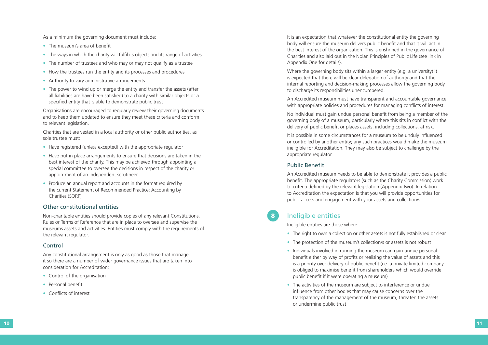• The right to own a collection or other assets is not fully established or clear

As a minimum the governing document must include:

- The museum's area of benefit
- The ways in which the charity will fulfil its objects and its range of activities
- The number of trustees and who may or may not qualify as a trustee
- How the trustees run the entity and its processes and procedures
- Authority to vary administrative arrangements
- The power to wind up or merge the entity and transfer the assets (after all liabilities are have been satisfied) to a charity with similar objects or a specified entity that is able to demonstrate public trust

Organisations are encouraged to regularly review their governing documents and to keep them updated to ensure they meet these criteria and conform to relevant legislation.

- Have registered (unless excepted) with the appropriate regulator
- Have put in place arrangements to ensure that decisions are taken in the best interest of the charity. This may be achieved through appointing a special committee to oversee the decisions in respect of the charity or appointment of an independent scrutineer
- Produce an annual report and accounts in the format required by the current Statement of Recommended Practice: Accounting by Charities (SORP)

Charities that are vested in a local authority or other public authorities, as sole trustee must:

#### Other constitutional entities

Non-charitable entities should provide copies of any relevant Constitutions, Rules or Terms of Reference that are in place to oversee and supervise the museums assets and activities. Entities must comply with the requirements of the relevant regulator.

#### Control

Any constitutional arrangement is only as good as those that manage it so there are a number of wider governance issues that are taken into consideration for Accreditation: • Control of the organisation

- 
- Personal benefit
- Conflicts of interest

It is an expectation that whatever the constitutional entity the governing body will ensure the museum delivers public benefit and that it will act in the best interest of the organisation. This is enshrined in the governance of Charities and also laid out in the Nolan Principles of Public Life (see link in Appendix One for details).

- 
- The protection of the museum's collection/s or assets is not robust<br>• Individuals involved in running the museum can gain undue personal
- benefit either by way of profits or realising the value of assets and this is a priority over delivery of public benefit (i.e. a private limited company is obliged to maximise benefit from shareholders which would override public benefit if it were operating a museum)
- The activities of the museum are subject to interference or undue influence from other bodies that may cause concerns over the transparency of the management of the museum, threaten the assets or undermine public trust

Where the governing body sits within a larger entity (e.g. a university) it is expected that there will be clear delegation of authority and that the internal reporting and decision-making processes allow the governing body to discharge its responsibilities unencumbered.

An Accredited museum must have transparent and accountable governance with appropriate policies and procedures for managing conflicts of interest.

No individual must gain undue personal benefit from being a member of the governing body of a museum, particularly where this sits in conflict with the delivery of public benefit or places assets, including collections, at risk.

It is possible in some circumstances for a museum to be unduly influenced or controlled by another entity; any such practices would make the museum ineligible for Accreditation. They may also be subject to challenge by the appropriate regulator.

#### Public Benefit

An Accredited museum needs to be able to demonstrate it provides a public benefit. The appropriate regulators (such as the Charity Commission) work to criteria defined by the relevant legislation (Appendix Two). In relation to Accreditation the expectation is that you will provide opportunities for public access and engagement with your assets and collection/s.

## Ineligible entities

Ineligible entities are those where:

8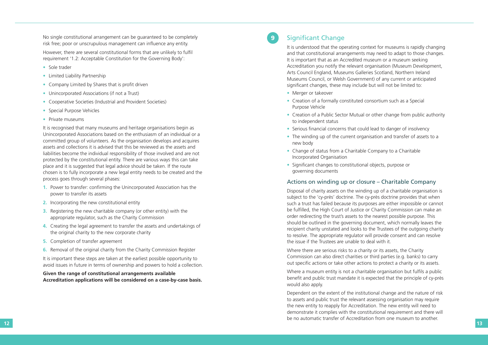No single constitutional arrangement can be guaranteed to be completely risk free; poor or unscrupulous management can influence any entity.

However, there are several constitutional forms that are unlikely to fulfil requirement '1.2: Acceptable Constitution for the Governing Body':

- Sole trader
- Limited Liability Partnership
- 
- 
- Company Limited by Shares that is profit driven<br>• Unincorporated Associations (if not a Trust)<br>• Cooperative Societies (Industrial and Provident Societies)
- Special Purpose Vehicles Private museums
- 

It is recognised that many museums and heritage organisations begin as Unincorporated Associations based on the enthusiasm of an individual or a committed group of volunteers. As the organisation develops and acquires assets and collections it is advised that this be reviewed as the assets and liabilities become the individual responsibility of those involved and are not protected by the constitutional entity. There are various ways this can take place and it is suggested that legal advice should be taken. If the route chosen is to fully incorporate a new legal entity needs to be created and the process goes through several phases:

- **1.** Power to transfer: confirming the Unincorporated Association has the power to transfer its assets
- **2.** Incorporating the new constitutional entity
- **3.** Registering the new charitable company (or other entity) with the appropriate regulator, such as the Charity Commission
- **4.** Creating the legal agreement to transfer the assets and undertakings of the original charity to the new corporate charity
- **5.** Completion of transfer agreement
- **6.** Removal of the original charity from the Charity Commission Register

It is important these steps are taken at the earliest possible opportunity to avoid issues in future in terms of ownership and powers to hold a collection.

**Given the range of constitutional arrangements available Accreditation applications will be considered on a case-by-case basis.**

# 9 Significant Change

Where a museum entity is not a charitable organisation but fulfils a public benefit and public trust mandate it is expected that the principle of cy-près would also apply.

It is understood that the operating context for museums is rapidly changing and that constitutional arrangements may need to adapt to those changes. It is important that as an Accredited museum or a museum seeking Accreditation you notify the relevant organisation (Museum Development, Arts Council England, Museums Galleries Scotland, Northern Ireland Museums Council, or Welsh Government) of any current or anticipated significant changes, these may include but will not be limited to:

 **12 13** Dependent on the extent of the institutional change and the nature of risk to assets and public trust the relevant assessing organisation may require the new entity to reapply for Accreditation. The new entity will need to demonstrate it complies with the constitutional requirement and there will be no automatic transfer of Accreditation from one museum to another.

- Merger or takeover
- Creation of a formally constituted consortium such as a Special Purpose Vehicle
- Creation of a Public Sector Mutual or other change from public authority to independent status
- Serious financial concerns that could lead to danger of insolvency
- The winding up of the current organisation and transfer of assets to a new body
- Change of status from a Charitable Company to a Charitable Incorporated Organisation
- Significant changes to constitutional objects, purpose or governing documents

#### Actions on winding up or closure – Charitable Company

Disposal of charity assets on the winding up of a charitable organisation is subject to the 'cy-près' doctrine. The cy-près doctrine provides that when such a trust has failed because its purposes are either impossible or cannot be fulfilled, the High Court of Justice or Charity Commission can make an order redirecting the trust's assets to the nearest possible purpose. This should be outlined in the governing document, which normally leaves the recipient charity unstated and looks to the Trustees of the outgoing charity to resolve. The appropriate regulator will provide consent and can resolve the issue if the Trustees are unable to deal with it.

Where there are serious risks to a charity or its assets, the Charity Commission can also direct charities or third parties (e.g. banks) to carry out specific actions or take other actions to protect a charity or its assets.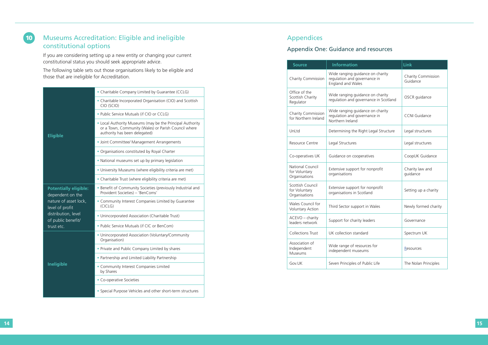# 10 Museums Accreditation: Eligible and ineligible constitutional options

If you are considering setting up a new entity or changing your current constitutional status you should seek appropriate advice.

The following table sets out those organisations likely to be eligible and those that are ineligible for Accreditation.

# Appendices

# Appendix One: Guidance and resources

| <b>Eligible</b>                                                                                                                                         | • Charitable Company Limited by Guarantee (CCLG)                                                                                                   |
|---------------------------------------------------------------------------------------------------------------------------------------------------------|----------------------------------------------------------------------------------------------------------------------------------------------------|
|                                                                                                                                                         | • Charitable Incorporated Organisation (CIO) and Scottish<br>CIO (SCIO)                                                                            |
|                                                                                                                                                         | . Public Service Mutuals (if CIO or CCLG)                                                                                                          |
|                                                                                                                                                         | • Local Authority Museums (may be the Principal Authority<br>or a Town, Community (Wales) or Parish Council where<br>authority has been delegated) |
|                                                                                                                                                         | · Joint Committee/ Management Arrangements                                                                                                         |
|                                                                                                                                                         | • Organisations constituted by Royal Charter                                                                                                       |
|                                                                                                                                                         | • National museums set up by primary legislation                                                                                                   |
|                                                                                                                                                         | • University Museums (where eligibility criteria are met)                                                                                          |
|                                                                                                                                                         | • Charitable Trust (where eligibility criteria are met)                                                                                            |
| <b>Potentially eligible:</b><br>dependent on the<br>nature of asset lock,<br>level of profit<br>distribution, level<br>of public benefit/<br>trust etc. | • Benefit of Community Societies (previously Industrial and<br>Provident Societies) - 'BenComs'                                                    |
|                                                                                                                                                         | • Community Interest Companies Limited by Guarantee<br>(CICLG)                                                                                     |
|                                                                                                                                                         | • Unincorporated Association (Charitable Trust)                                                                                                    |
|                                                                                                                                                         | . Public Service Mutuals (if CIC or BenCom)                                                                                                        |
| <b>Ineligible</b>                                                                                                                                       | • Unincorporated Association (Voluntary/Community<br>Organisation)                                                                                 |
|                                                                                                                                                         | • Private and Public Company Limited by shares                                                                                                     |
|                                                                                                                                                         | • Partnership and Limited Liability Partnership                                                                                                    |
|                                                                                                                                                         | • Community Interest Companies Limited<br>by Shares                                                                                                |
|                                                                                                                                                         | • Co-operative Societies                                                                                                                           |
|                                                                                                                                                         | • Special Purpose Vehicles and other short-term structures                                                                                         |

| <b>Source</b>                                      | <b>Information</b>                                                                    | Link                                  |
|----------------------------------------------------|---------------------------------------------------------------------------------------|---------------------------------------|
| Charity Commission                                 | Wide ranging guidance on charity<br>regulation and governance in<br>England and Wales | <b>Charity Commission</b><br>Guidance |
| Office of the<br>Scottish Charity<br>Regulator     | Wide ranging guidance on charity<br>regulation and governance in Scotland             | OSCR guidance                         |
| <b>Charity Commission</b><br>for Northern Ireland  | Wide ranging guidance on charity<br>regulation and governance in<br>Northern Ireland  | <b>CCNI Guidance</b>                  |
| UnLtd                                              | Determining the Right Legal Structure                                                 | Legal structures                      |
| Resource Centre                                    | Legal Structures                                                                      | Legal structures                      |
| Co-operatives UK                                   | Guidance on cooperatives                                                              | CoopUK Guidance                       |
| National Council<br>for Voluntary<br>Organisations | Extensive support for nonprofit<br>organisations                                      | Charity law and<br>guidance           |
| Scottish Council<br>for Voluntary<br>Organisations | Extensive support for nonprofit<br>organisations in Scotland                          | Setting up a charity                  |
| Wales Council for<br><b>Voluntary Action</b>       | Third Sector support in Wales                                                         | Newly formed charity                  |
| ACEVO - charity<br>leaders network                 | Support for charity leaders                                                           | Governance                            |
| Collections Trust                                  | UK collection standard                                                                | Spectrum UK                           |
| Association of<br>Independent<br>Museums           | Wide range of resources for<br>independent museums                                    | Resources                             |
| Gov.UK                                             | Seven Principles of Public Life                                                       | The Nolan Principles                  |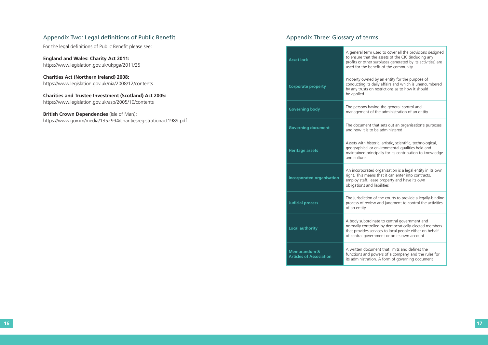m used to cover all the provisions designed the assets of the CIC (including any er surpluses generated by its activities) are penefit of the community

ed by an entity for the purpose of daily affairs and which is unencumbered on restrictions as to how it should

aving the general control and of the administration of an entity

t that sets out an organisation's purposes to be administered

istoric, artistic, scientific, technological, or environmental qualities held and rincipally for its contribution to knowledge

ted organisation is a legal entity in its own eans that it can enter into contracts, lease property and have its own nd liabilities

on of the courts to provide a legally-binding riew and judgment to control the activities

dinate to central government and rolled by democratically-elected members services to local people either on behalf ernment or on its own account

ument that limits and defines the powers of a company, and the rules for tion. A form of governing document

### Appendix Two: Legal definitions of Public Benefit

For the legal definitions of Public Benefit please see:

**England and Wales: Charity Act 2011:**  https://www.legislation.gov.uk/ukpga/2011/25

**Charities Act (Northern Ireland) 2008:**  https://www.legislation.gov.uk/nia/2008/12/contents

**Charities and Trustee Investment (Scotland) Act 2005:**  https://www.legislation.gov.uk/asp/2005/10/contents

#### **British Crown Dependencies** (Isle of Man)**:**

https://www.gov.im/media/1352994/charitiesregistrationact1989.pdf

## Appendix Three: Glossary of terms

| <b>Asset lock</b>                                         | A general tern<br>to ensure that<br>profits or othe<br>used for the b |
|-----------------------------------------------------------|-----------------------------------------------------------------------|
| <b>Corporate property</b>                                 | Property owne<br>conducting its<br>by any trusts o<br>be applied      |
| <b>Governing body</b>                                     | The persons h<br>management                                           |
| <b>Governing document</b>                                 | The document<br>and how it is t                                       |
| <b>Heritage assets</b>                                    | Assets with his<br>geographical o<br>maintained pr<br>and culture     |
| <b>Incorporated organisation</b>                          | An incorporat<br>right. This mea<br>employ staff, I<br>obligations an |
| <b>Judicial process</b>                                   | The jurisdiction<br>process of revi<br>of an entity                   |
| <b>Local authority</b>                                    | A body subord<br>normally conti<br>that provides s<br>of central gove |
| <b>Memorandum &amp;</b><br><b>Articles of Association</b> | A written doct<br>functions and<br>its administrat                    |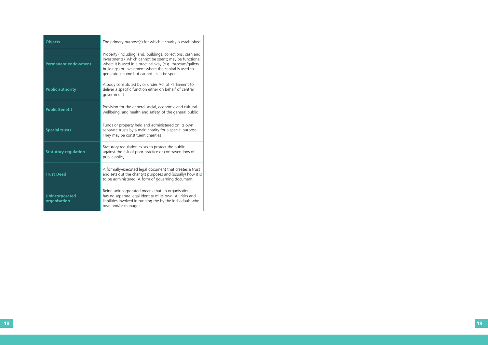| <b>Objects</b>                        | The primary purpose(s) for which a charity is established                                                                                                                                                                                                                                |
|---------------------------------------|------------------------------------------------------------------------------------------------------------------------------------------------------------------------------------------------------------------------------------------------------------------------------------------|
| <b>Permanent endowment</b>            | Property (including land, buildings, collections, cash and<br>investments) which cannot be spent; may be functional,<br>where it is used in a practical way (e.g. museum/gallery<br>buildings) or investment where the capital is used to<br>generate income but cannot itself be spent. |
| <b>Public authority</b>               | A body constituted by or under Act of Parliament to<br>deliver a specific function either on behalf of central<br>government                                                                                                                                                             |
| <b>Public Benefit</b>                 | Provision for the general social, economic and cultural<br>wellbeing, and health and safety, of the general public                                                                                                                                                                       |
| <b>Special trusts</b>                 | Funds or property held and administered on its own<br>separate trusts by a main charity for a special purpose.<br>They may be constituent charities                                                                                                                                      |
| <b>Statutory regulation</b>           | Statutory regulation exists to protect the public<br>against the risk of poor practice or contraventions of<br>public policy                                                                                                                                                             |
| <b>Trust Deed</b>                     | A formally-executed legal document that creates a trust<br>and sets out the charity's purposes and (usually) how it is<br>to be administered. A form of governing document                                                                                                               |
| <b>Unincorporated</b><br>organisation | Being unincorporated means that an organisation<br>has no separate legal identity of its own. All risks and<br>liabilities involved in running the by the individuals who<br>own and/or manage it                                                                                        |